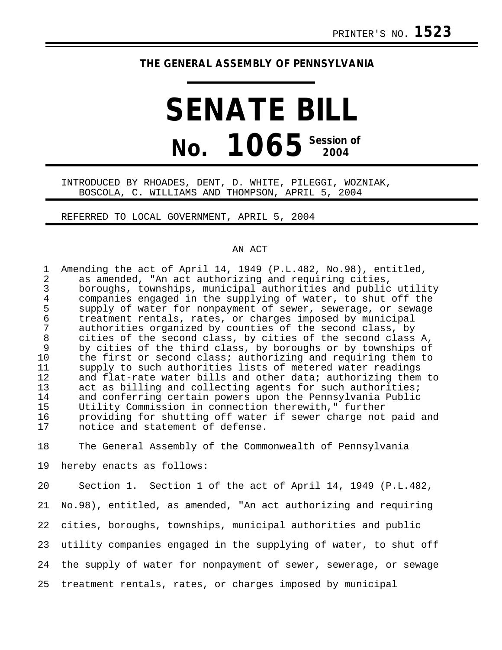## **THE GENERAL ASSEMBLY OF PENNSYLVANIA**

## **SENATE BILL No. 1065 Session of 2004**

## INTRODUCED BY RHOADES, DENT, D. WHITE, PILEGGI, WOZNIAK, BOSCOLA, C. WILLIAMS AND THOMPSON, APRIL 5, 2004

REFERRED TO LOCAL GOVERNMENT, APRIL 5, 2004

## AN ACT

| 1<br>2         | Amending the act of April 14, 1949 (P.L.482, No.98), entitled,<br>as amended, "An act authorizing and requiring cities, |
|----------------|-------------------------------------------------------------------------------------------------------------------------|
| 3              | boroughs, townships, municipal authorities and public utility                                                           |
| $\overline{4}$ | companies engaged in the supplying of water, to shut off the                                                            |
| 5              | supply of water for nonpayment of sewer, sewerage, or sewage                                                            |
| 6              | treatment rentals, rates, or charges imposed by municipal                                                               |
| 7              | authorities organized by counties of the second class, by                                                               |
| 8              | cities of the second class, by cities of the second class A,                                                            |
| 9              | by cities of the third class, by boroughs or by townships of                                                            |
| 10             | the first or second class; authorizing and requiring them to                                                            |
| 11             | supply to such authorities lists of metered water readings                                                              |
| 12             | and flat-rate water bills and other data; authorizing them to                                                           |
| 13             | act as billing and collecting agents for such authorities;                                                              |
| 14             | and conferring certain powers upon the Pennsylvania Public                                                              |
| 15             | Utility Commission in connection therewith," further                                                                    |
| 16             | providing for shutting off water if sewer charge not paid and                                                           |
| 17             | notice and statement of defense.                                                                                        |
| 18             | The General Assembly of the Commonwealth of Pennsylvania                                                                |
| 19             | hereby enacts as follows:                                                                                               |
| 20             | Section 1. Section 1 of the act of April 14, 1949 (P.L.482,                                                             |

21 No.98), entitled, as amended, "An act authorizing and requiring 22 cities, boroughs, townships, municipal authorities and public 23 utility companies engaged in the supplying of water, to shut off 24 the supply of water for nonpayment of sewer, sewerage, or sewage 25 treatment rentals, rates, or charges imposed by municipal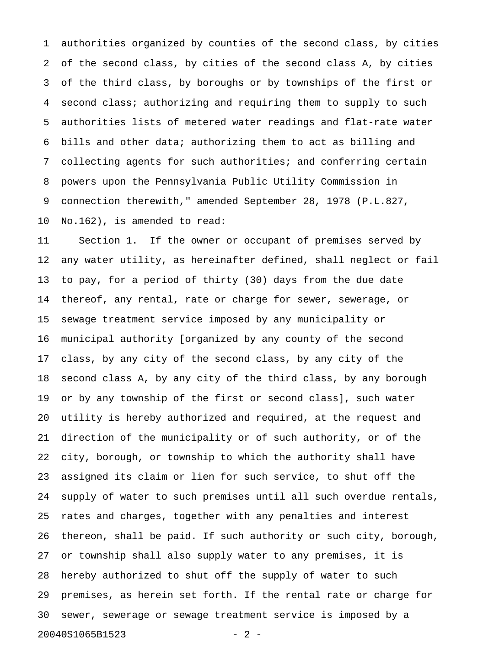1 authorities organized by counties of the second class, by cities 2 of the second class, by cities of the second class A, by cities 3 of the third class, by boroughs or by townships of the first or 4 second class; authorizing and requiring them to supply to such 5 authorities lists of metered water readings and flat-rate water 6 bills and other data; authorizing them to act as billing and 7 collecting agents for such authorities; and conferring certain 8 powers upon the Pennsylvania Public Utility Commission in 9 connection therewith," amended September 28, 1978 (P.L.827, 10 No.162), is amended to read:

11 Section 1. If the owner or occupant of premises served by 12 any water utility, as hereinafter defined, shall neglect or fail 13 to pay, for a period of thirty (30) days from the due date 14 thereof, any rental, rate or charge for sewer, sewerage, or 15 sewage treatment service imposed by any municipality or 16 municipal authority [organized by any county of the second 17 class, by any city of the second class, by any city of the 18 second class A, by any city of the third class, by any borough 19 or by any township of the first or second class], such water 20 utility is hereby authorized and required, at the request and 21 direction of the municipality or of such authority, or of the 22 city, borough, or township to which the authority shall have 23 assigned its claim or lien for such service, to shut off the 24 supply of water to such premises until all such overdue rentals, 25 rates and charges, together with any penalties and interest 26 thereon, shall be paid. If such authority or such city, borough, 27 or township shall also supply water to any premises, it is 28 hereby authorized to shut off the supply of water to such 29 premises, as herein set forth. If the rental rate or charge for 30 sewer, sewerage or sewage treatment service is imposed by a 20040S1065B1523 - 2 -